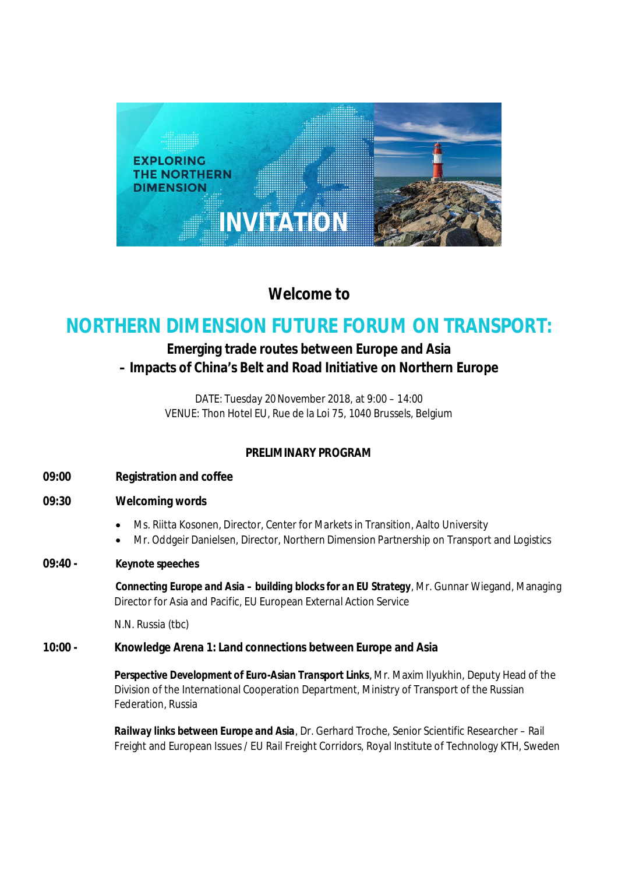

**Welcome to**

# **NORTHERN DIMENSION FUTURE FORUM ON TRANSPORT:**

## **Emerging trade routes between Europe and Asia – Impacts of China's Belt and Road Initiative on Northern Europe**

DATE: Tuesday 20November 2018, at 9:00 – 14:00 VENUE: Thon Hotel EU, Rue de la Loi 75, 1040 Brussels, Belgium

### **PRELIMINARY PROGRAM**

- **09:00 Registration and coffee**
- **09:30 Welcoming words**
	- · Ms. Riitta Kosonen, Director, Center for Markets in Transition, Aalto University
	- · Mr. Oddgeir Danielsen, Director, Northern Dimension Partnership on Transport and Logistics
- **09:40 - Keynote speeches**

*Connecting Europe and Asia – building blocks for an EU Strategy*, Mr. Gunnar Wiegand, Managing Director for Asia and Pacific, EU European External Action Service

N.N. Russia (tbc)

**10:00 - Knowledge Arena 1: Land connections between Europe and Asia**

*Perspective Development of Euro-Asian Transport Links,* Mr. Maxim Ilyukhin, Deputy Head of the Division of the International Cooperation Department, Ministry of Transport of the Russian Federation, Russia

*Railway links between Europe and Asia*, Dr. Gerhard Troche, Senior Scientific Researcher – Rail Freight and European Issues / EU Rail Freight Corridors, Royal Institute of Technology KTH, Sweden